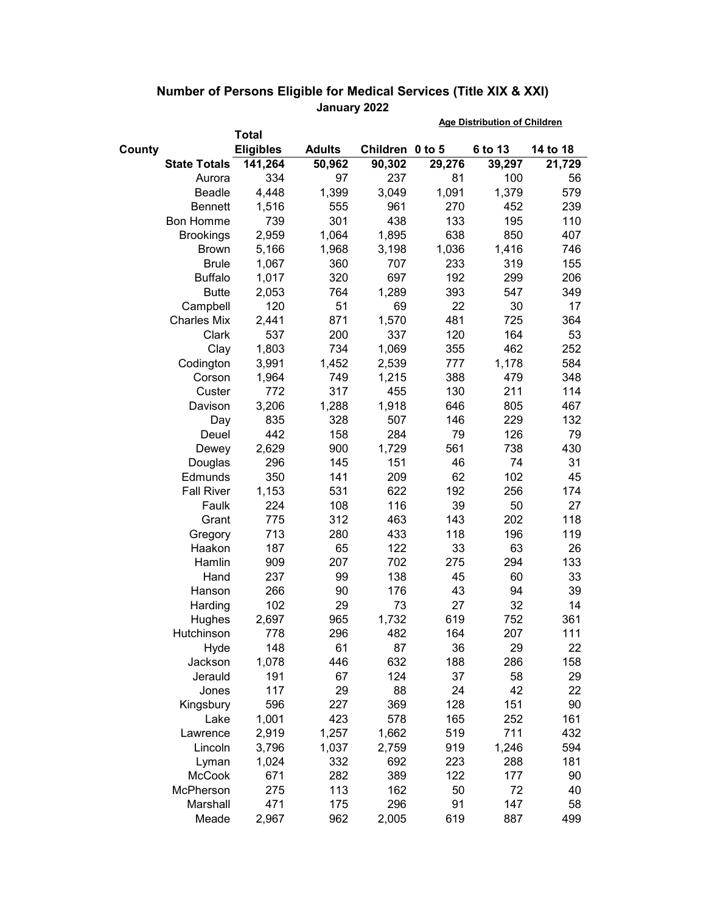|                     |                  |               | <b>Age Distribution of Children</b> |        |         |          |
|---------------------|------------------|---------------|-------------------------------------|--------|---------|----------|
|                     | <b>Total</b>     |               |                                     |        |         |          |
| County              | <b>Eligibles</b> | <b>Adults</b> | Children 0 to 5                     |        | 6 to 13 | 14 to 18 |
| <b>State Totals</b> | 141,264          | 50,962        | 90,302                              | 29,276 | 39,297  | 21,729   |
| Aurora              | 334              | 97            | 237                                 | 81     | 100     | 56       |
| Beadle              | 4,448            | 1,399         | 3,049                               | 1,091  | 1,379   | 579      |
| <b>Bennett</b>      | 1,516            | 555           | 961                                 | 270    | 452     | 239      |
| <b>Bon Homme</b>    | 739              | 301           | 438                                 | 133    | 195     | 110      |
| <b>Brookings</b>    | 2,959            | 1,064         | 1,895                               | 638    | 850     | 407      |
| <b>Brown</b>        | 5,166            | 1,968         | 3,198                               | 1,036  | 1,416   | 746      |
| <b>Brule</b>        | 1,067            | 360           | 707                                 | 233    | 319     | 155      |
| <b>Buffalo</b>      | 1,017            | 320           | 697                                 | 192    | 299     | 206      |
| <b>Butte</b>        | 2,053            | 764           | 1,289                               | 393    | 547     | 349      |
| Campbell            | 120              | 51            | 69                                  | 22     | 30      | 17       |
| <b>Charles Mix</b>  | 2,441            | 871           | 1,570                               | 481    | 725     | 364      |
| Clark               | 537              | 200           | 337                                 | 120    | 164     | 53       |
| Clay                | 1,803            | 734           | 1,069                               | 355    | 462     | 252      |
| Codington           | 3,991            | 1,452         | 2,539                               | 777    | 1,178   | 584      |
| Corson              | 1,964            | 749           | 1,215                               | 388    | 479     | 348      |
| Custer              | 772              | 317           | 455                                 | 130    | 211     | 114      |
| Davison             | 3,206            | 1,288         | 1,918                               | 646    | 805     | 467      |
| Day                 | 835              | 328           | 507                                 | 146    | 229     | 132      |
| Deuel               | 442              | 158           | 284                                 | 79     | 126     | 79       |
| Dewey               | 2,629            | 900           | 1,729                               | 561    | 738     | 430      |
| Douglas             | 296              | 145           | 151                                 | 46     | 74      | 31       |
| Edmunds             | 350              | 141           | 209                                 | 62     | 102     | 45       |
| <b>Fall River</b>   | 1,153            | 531           | 622                                 | 192    | 256     | 174      |
| Faulk               | 224              | 108           | 116                                 | 39     | 50      | 27       |
| Grant               | 775              | 312           | 463                                 | 143    | 202     | 118      |
| Gregory             | 713              | 280           | 433                                 | 118    | 196     | 119      |
| Haakon              | 187              | 65            | 122                                 | 33     | 63      | 26       |
| Hamlin              | 909              | 207           | 702                                 | 275    | 294     | 133      |
| Hand                | 237              | 99            | 138                                 | 45     | 60      | 33       |
| Hanson              | 266              | 90            | 176                                 | 43     | 94      | 39       |
| Harding             | 102              | 29            | 73                                  | 27     | 32      | 14       |
| Hughes              | 2,697            | 965           | 1,732                               | 619    | 752     | 361      |
| Hutchinson          | 778              | 296           | 482                                 | 164    | 207     | 111      |
| Hyde                | 148              | 61            | 87                                  | 36     | 29      | 22       |
| Jackson             | 1,078            | 446           | 632                                 | 188    | 286     | 158      |
| Jerauld             | 191              | 67            | 124                                 | 37     | 58      | 29       |
| Jones               | 117              | 29            | 88                                  | 24     | 42      | 22       |
| Kingsbury           | 596              | 227           | 369                                 | 128    | 151     | 90       |
| Lake                | 1,001            | 423           | 578                                 | 165    | 252     | 161      |
| Lawrence            | 2,919            | 1,257         | 1,662                               | 519    | 711     | 432      |
| Lincoln             | 3,796            | 1,037         | 2,759                               | 919    | 1,246   | 594      |
| Lyman               | 1,024            | 332           | 692                                 | 223    | 288     | 181      |
| McCook              | 671              | 282           | 389                                 | 122    | 177     | 90       |
| McPherson           | 275              | 113           | 162                                 | 50     | 72      | 40       |
| Marshall            | 471              | 175           | 296                                 | 91     | 147     | 58       |
| Meade               | 2,967            | 962           | 2,005                               | 619    | 887     | 499      |

## **Number of Persons Eligible for Medical Services (Title XIX & XXI) January 2022**